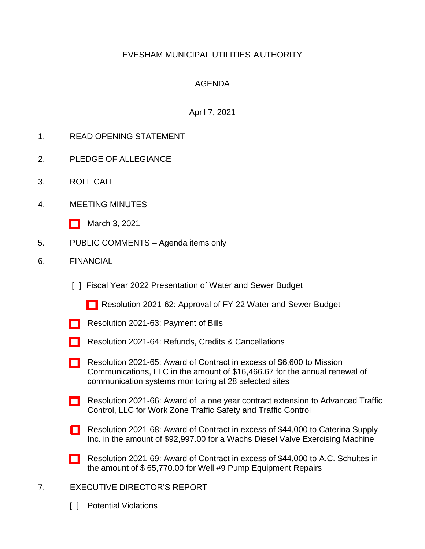# EVESHAM MUNICIPAL UTILITIES AUTHORITY

## AGENDA

## April 7, 2021

- 1. READ OPENING STATEMENT
- 2. PLEDGE OF ALLEGIANCE
- 3. ROLL CALL
- 4. MEETING MINUTES
	- [\[ \]](http://www.eveshammua.com/wp-content/uploads/2021/04/minutes-3-3-2021.pdf) March 3, 2021
- 5. PUBLIC COMMENTS Agenda items only
- 6. FINANCIAL
	- [ ] Fiscal Year 2022 Presentation of Water and Sewer Budget
		- [\[ \]](http://www.eveshammua.com/wp-content/uploads/2021/04/Resolution-2021-62-Budget-1.pdf) Resolution 2021-62: Approval of FY 22 Water and Sewer Budget
	- [\[ \]](http://www.eveshammua.com/wp-content/uploads/2021/03/Resolution-2021-63-March-Bill-List-.pdf) Resolution 2021-63: Payment of Bills
	- [\[ \]](http://www.eveshammua.com/wp-content/uploads/2021/04/Resolution-2021-64-Refunds.pdf) Resolution 2021-64: Refunds, Credits & Cancellations
	- [\[ \]](http://www.eveshammua.com/wp-content/uploads/2021/03/Resolution-2021-65-Mission-Communications.pdf) Resolution 2021-65: Award of Contract in excess of \$6,600 to Mission Communications, LLC in the amount of \$16,466.67 for the annual renewal of communication systems monitoring at 28 selected sites
	- [\[ \]](http://www.eveshammua.com/wp-content/uploads/2021/03/Resolution-2021-66-Contract-Extension-Advanced-Traffic-Control.pdf) Resolution 2021-66: Award of a one year contract extension to Advanced Traffic Control, LLC for Work Zone Traffic Safety and Traffic Control
	- [ [\]](http://www.eveshammua.com/wp-content/uploads/2021/03/Resolution-2021-68-Caterina-Supply-Inc.-Wachs-machine.pdf) Resolution 2021-68: Award of Contract in excess of \$44,000 to Caterina Supply Inc. in the amount of \$92,997.00 for a Wachs Diesel Valve Exercising Machine
	- [\[ \]](http://www.eveshammua.com/wp-content/uploads/2021/04/Resolution-2021-69-Well-9-Pump-Equipment-Repairs.pdf) Resolution 2021-69: Award of Contract in excess of \$44,000 to A.C. Schultes in the amount of \$ 65,770.00 for Well #9 Pump Equipment Repairs
- 7. EXECUTIVE DIRECTOR'S REPORT
	- [ ] Potential Violations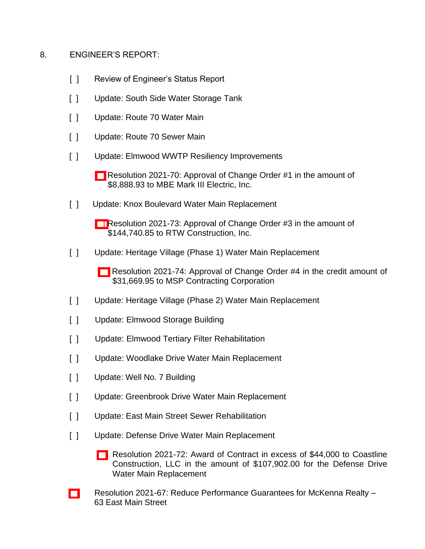#### 8. ENGINEER'S REPORT:

- [ ] Review of Engineer's Status Report
- [ ] Update: South Side Water Storage Tank
- [ ] Update: Route 70 Water Main
- [ ] Update: Route 70 Sewer Main
- [ ] Update: Elmwood WWTP Resiliency Improvements
	- [\[ \]](http://www.eveshammua.com/wp-content/uploads/2021/03/Resolution-2021-70-MBE-Mark-III-Change-Order.pdf) Resolution 2021-70: Approval of Change Order #1 in the amount of \$8,888.93 to MBE Mark III Electric, Inc.
- [ ] Update: Knox Boulevard Water Main Replacement
	- [\[ \]](http://www.eveshammua.com/wp-content/uploads/2021/03/Resolution-2021-73-RTW-Change-Order-No.-3.pdf) Resolution 2021-73: Approval of Change Order #3 in the amount of \$144,740.85 to RTW Construction, Inc.
- [ ] Update: Heritage Village (Phase 1) Water Main Replacement
	- [\[ \]](http://www.eveshammua.com/wp-content/uploads/2021/03/Resolution-2021-74-MSP-Change-Order-4.pdf) Resolution 2021-74: Approval of Change Order #4 in the credit amount of \$31,669.95 to MSP Contracting Corporation
- [ ] Update: Heritage Village (Phase 2) Water Main Replacement
- [ ] Update: Elmwood Storage Building
- [ ] Update: Elmwood Tertiary Filter Rehabilitation
- [ ] Update: Woodlake Drive Water Main Replacement
- [ ] Update: Well No. 7 Building
- [ ] Update: Greenbrook Drive Water Main Replacement
- [ ] Update: East Main Street Sewer Rehabilitation
- [ ] Update: Defense Drive Water Main Replacement
	- [\[ \]](http://www.eveshammua.com/wp-content/uploads/2021/04/Resolution-2021-72-Coastline-Construction.pdf) Resolution 2021-72: Award of Contract in excess of \$44,000 to Coastline Construction, LLC in the amount of \$107,902.00 for the Defense Drive Water Main Replacement
- [\[ \]](http://www.eveshammua.com/wp-content/uploads/2021/03/Resolution-2021-67-Reducing-Performance-Bonds-.pdf) Resolution 2021-67: Reduce Performance Guarantees for McKenna Realty 63 East Main Street